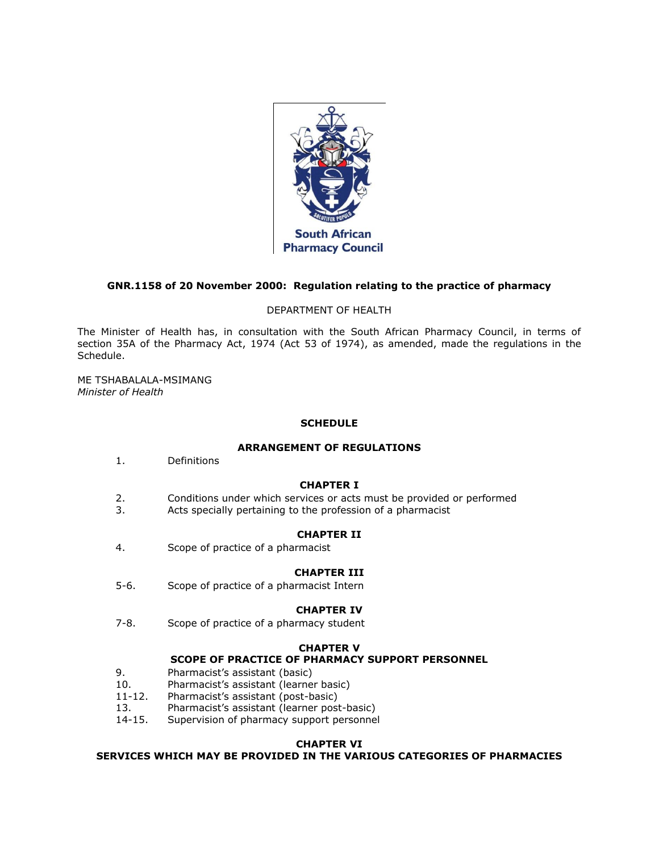

# **GNR.1158 of 20 November 2000: Regulation relating to the practice of pharmacy**

## DEPARTMENT OF HEALTH

The Minister of Health has, in consultation with the South African Pharmacy Council, in terms of [section 35A](http://www.mylexisnexis.co.za/nxt/gateway.dll/jilc/kilc/xjsg/zmsg/0msg/i34h#0) of the Pharmacy Act, 1974 (Act [53 of 1974\)](http://www.mylexisnexis.co.za/nxt/gateway.dll/jilc/kilc/xjsg/zmsg/0msg#0), as amended, made the regulations in [the](http://www.mylexisnexis.co.za/nxt/gateway.dll/jilc/kilc/xjsg/zmsg/cnsg/6ok2a/zqk2a?f=templates$fn=document-frame.htm$3.0$q=$x=$nc=138#352)  [Schedule.](http://www.mylexisnexis.co.za/nxt/gateway.dll/jilc/kilc/xjsg/zmsg/cnsg/6ok2a/zqk2a?f=templates$fn=document-frame.htm$3.0$q=$x=$nc=138#352)

ME TSHABALALA-MSIMANG *Minister of Health*

## **SCHEDULE**

#### **ARRANGEMENT OF REGULATIONS**

[1.](http://www.mylexisnexis.co.za/nxt/gateway.dll/jilc/kilc/xjsg/zmsg/cnsg/6ok2a/zqk2a/0qk2a#351) Definitions

# **CHAPTER I**

- [2.](http://www.mylexisnexis.co.za/nxt/gateway.dll/jilc/kilc/xjsg/zmsg/cnsg/6ok2a/zqk2a/1qk2a#361) Conditions under which services or acts must be provided or performed
- [3.](http://www.mylexisnexis.co.za/nxt/gateway.dll/jilc/kilc/xjsg/zmsg/cnsg/6ok2a/zqk2a/2qk2a#362) Acts specially pertaining to the profession of a pharmacist

## **CHAPTER II**

[4.](http://www.mylexisnexis.co.za/nxt/gateway.dll/jilc/kilc/xjsg/zmsg/cnsg/6ok2a/zqk2a/3qk2a#36d) Scope of practice of a pharmacist

#### **CHAPTER III**

[5-](http://www.mylexisnexis.co.za/nxt/gateway.dll/jilc/kilc/xjsg/zmsg/cnsg/6ok2a/zqk2a/4qk2a#36k)[6.](http://www.mylexisnexis.co.za/nxt/gateway.dll/jilc/kilc/xjsg/zmsg/cnsg/6ok2a/zqk2a/5qk2a#36l) Scope of practice of a pharmacist Intern

#### **CHAPTER IV**

[7-](http://www.mylexisnexis.co.za/nxt/gateway.dll/jilc/kilc/xjsg/zmsg/cnsg/6ok2a/zqk2a/6qk2a#36m)[8.](http://www.mylexisnexis.co.za/nxt/gateway.dll/jilc/kilc/xjsg/zmsg/cnsg/6ok2a/zqk2a/7qk2a#36p) Scope of practice of a pharmacy student

#### **CHAPTER V**

# **SCOPE OF PRACTICE OF PHARMACY SUPPORT PERSONNEL**

- [9.](http://www.mylexisnexis.co.za/nxt/gateway.dll/jilc/kilc/xjsg/zmsg/cnsg/6ok2a/zqk2a/8qk2a#36s) Pharmacist's assistant (basic)
- [10.](http://www.mylexisnexis.co.za/nxt/gateway.dll/jilc/kilc/xjsg/zmsg/cnsg/6ok2a/zqk2a/9qk2a#36z) Pharmacist's assistant (learner basic)
- [11](http://www.mylexisnexis.co.za/nxt/gateway.dll/jilc/kilc/xjsg/zmsg/cnsg/6ok2a/zqk2a/ark2a#370)[-12.](http://www.mylexisnexis.co.za/nxt/gateway.dll/jilc/kilc/xjsg/zmsg/cnsg/6ok2a/zqk2a/brk2a#37a) Pharmacist's assistant (post-basic)
- [13.](http://www.mylexisnexis.co.za/nxt/gateway.dll/jilc/kilc/xjsg/zmsg/cnsg/6ok2a/zqk2a/crk2a#37f) Pharmacist's assistant (learner post-basic)
- [14](http://www.mylexisnexis.co.za/nxt/gateway.dll/jilc/kilc/xjsg/zmsg/cnsg/6ok2a/zqk2a/drk2a#37g)[-15.](http://www.mylexisnexis.co.za/nxt/gateway.dll/jilc/kilc/xjsg/zmsg/cnsg/6ok2a/zqk2a/erk2a#37j) Supervision of pharmacy support personnel

#### **CHAPTER VI**

**SERVICES WHICH MAY BE PROVIDED IN THE VARIOUS CATEGORIES OF PHARMACIES**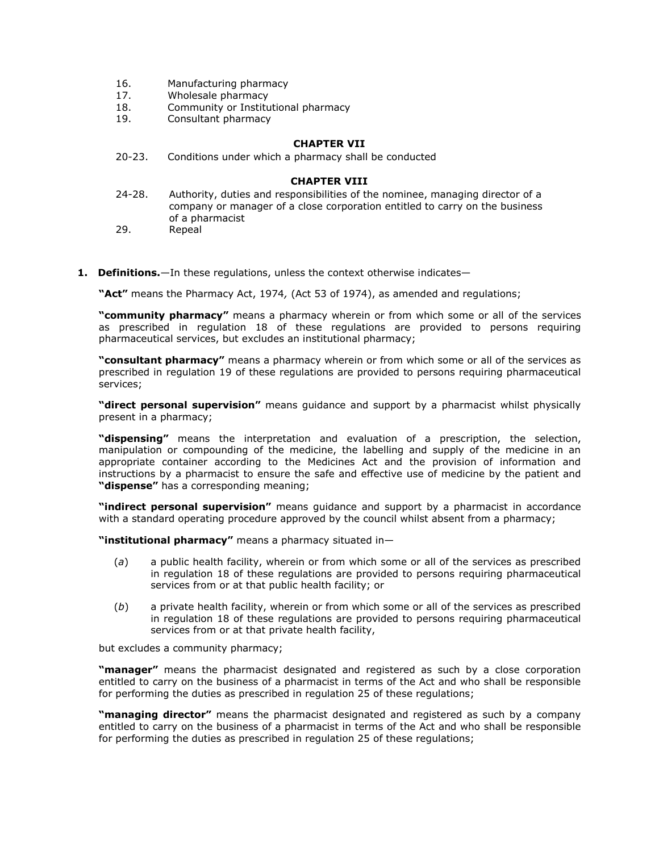- [16.](http://www.mylexisnexis.co.za/nxt/gateway.dll/jilc/kilc/xjsg/zmsg/cnsg/6ok2a/zqk2a/frk2a#37n) Manufacturing pharmacy
- [17.](http://www.mylexisnexis.co.za/nxt/gateway.dll/jilc/kilc/xjsg/zmsg/cnsg/6ok2a/zqk2a/grk2a#37x) Wholesale pharmacy
- [18.](http://www.mylexisnexis.co.za/nxt/gateway.dll/jilc/kilc/xjsg/zmsg/cnsg/6ok2a/zqk2a/hrk2a#383) Community or Institutional pharmacy
- [19.](http://www.mylexisnexis.co.za/nxt/gateway.dll/jilc/kilc/xjsg/zmsg/cnsg/6ok2a/zqk2a/irk2a#38p) Consultant pharmacy

## **CHAPTER VII**

[20](http://www.mylexisnexis.co.za/nxt/gateway.dll/jilc/kilc/xjsg/zmsg/cnsg/6ok2a/zqk2a/jrk2a#38y)[-23.](http://www.mylexisnexis.co.za/nxt/gateway.dll/jilc/kilc/xjsg/zmsg/cnsg/6ok2a/zqk2a/mrk2a#394) Conditions under which a pharmacy shall be conducted

## **CHAPTER VIII**

- [24](http://www.mylexisnexis.co.za/nxt/gateway.dll/jilc/kilc/xjsg/zmsg/cnsg/6ok2a/zqk2a/nrk2a#395)[-28.](http://www.mylexisnexis.co.za/nxt/gateway.dll/jilc/kilc/xjsg/zmsg/cnsg/6ok2a/zqk2a/rrk2a#39r) Authority, duties and responsibilities of the nominee, managing director of a company or manager of a close corporation entitled to carry on the business of a pharmacist
- [29.](http://www.mylexisnexis.co.za/nxt/gateway.dll/jilc/kilc/xjsg/zmsg/cnsg/6ok2a/zqk2a/srk2a#3a2) Repeal
- **1. Definitions.**—In these regulations, unless the context otherwise indicates—

**"Act"** means the Pharmacy Act, 1974*,* (Act [53 of 1974\)](http://www.mylexisnexis.co.za/nxt/gateway.dll/jilc/kilc/xjsg/zmsg/0msg#0), as amended and regulations;

**"community pharmacy"** means a pharmacy wherein or from which some or all of the services as prescribed in [regulation 18](http://www.mylexisnexis.co.za/nxt/gateway.dll/jilc/kilc/xjsg/zmsg/cnsg/6ok2a/zqk2a/hrk2a#383) of these regulations are provided to persons requiring pharmaceutical services, but excludes an institutional pharmacy;

**"consultant pharmacy"** means a pharmacy wherein or from which some or all of the services as prescribed in [regulation 19](http://www.mylexisnexis.co.za/nxt/gateway.dll/jilc/kilc/xjsg/zmsg/cnsg/6ok2a/zqk2a/irk2a#38p) of these regulations are provided to persons requiring pharmaceutical services;

**"direct personal supervision"** means guidance and support by a pharmacist whilst physically present in a pharmacy;

**"dispensing"** means the interpretation and evaluation of a prescription, the selection, manipulation or compounding of the medicine, the labelling and supply of the medicine in an appropriate container according to the Medicines Act and the provision of information and instructions by a pharmacist to ensure the safe and effective use of medicine by the patient and **"dispense"** has a corresponding meaning;

**"indirect personal supervision"** means guidance and support by a pharmacist in accordance with a standard operating procedure approved by the council whilst absent from a pharmacy;

**"institutional pharmacy"** means a pharmacy situated in—

- (*a*) a public health facility, wherein or from which some or all of the services as prescribed in [regulation 18](http://www.mylexisnexis.co.za/nxt/gateway.dll/jilc/kilc/xjsg/zmsg/cnsg/6ok2a/zqk2a/hrk2a#383) of these regulations are provided to persons requiring pharmaceutical services from or at that public health facility; or
- (*b*) a private health facility, wherein or from which some or all of the services as prescribed in [regulation 18](http://www.mylexisnexis.co.za/nxt/gateway.dll/jilc/kilc/xjsg/zmsg/cnsg/6ok2a/zqk2a/hrk2a#383) of these regulations are provided to persons requiring pharmaceutical services from or at that private health facility,

but excludes a community pharmacy;

**"manager"** means the pharmacist designated and registered as such by a close corporation entitled to carry on the business of a pharmacist in terms of the Act and who shall be responsible for performing the duties as prescribed in [regulation 25](http://www.mylexisnexis.co.za/nxt/gateway.dll/jilc/kilc/xjsg/zmsg/cnsg/6ok2a/zqk2a/ork2a#39d) of these regulations;

**"managing director"** means the pharmacist designated and registered as such by a company entitled to carry on the business of a pharmacist in terms of the Act and who shall be responsible for performing the duties as prescribed in [regulation 25](http://www.mylexisnexis.co.za/nxt/gateway.dll/jilc/kilc/xjsg/zmsg/cnsg/6ok2a/zqk2a/ork2a#39d) of these regulations;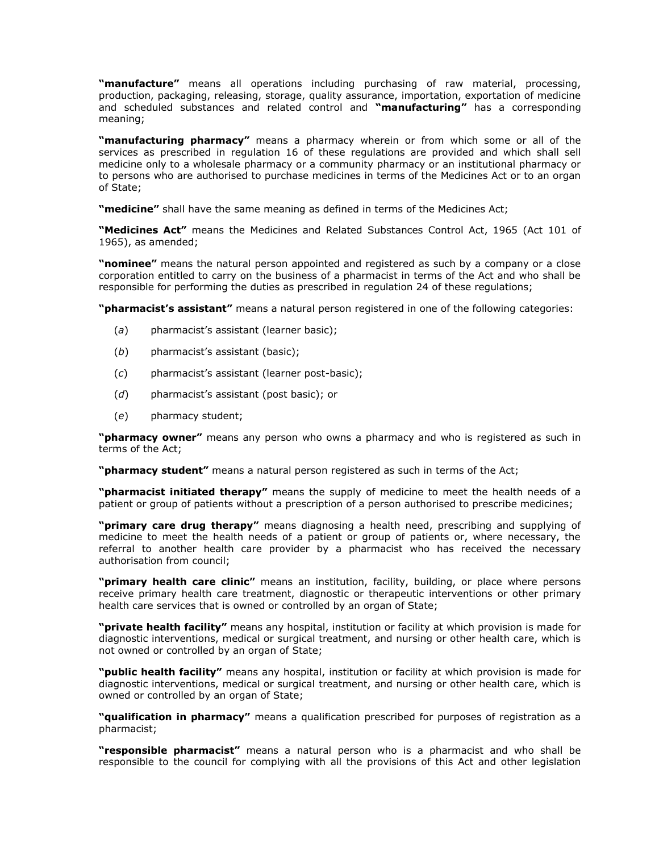**"manufacture"** means all operations including purchasing of raw material, processing, production, packaging, releasing, storage, quality assurance, importation, exportation of medicine and scheduled substances and related control and **"manufacturing"** has a corresponding meaning;

**"manufacturing pharmacy"** means a pharmacy wherein or from which some or all of the services as prescribed in [regulation 16](http://www.mylexisnexis.co.za/nxt/gateway.dll/jilc/kilc/xjsg/zmsg/cnsg/6ok2a/zqk2a/frk2a#37n) of these regulations are provided and which shall sell medicine only to a wholesale pharmacy or a community pharmacy or an institutional pharmacy or to persons who are authorised to purchase medicines in terms of the Medicines Act or to an organ of State;

**"medicine"** shall have the same meaning as defined in terms of the Medicines Act;

**"Medicines Act"** means the Medicines and Related Substances Control Act, 1965 (Act [101 of](http://www.mylexisnexis.co.za/nxt/gateway.dll/jilc/kilc/ezrg/p5rg/q5rg#0)  [1965\)](http://www.mylexisnexis.co.za/nxt/gateway.dll/jilc/kilc/ezrg/p5rg/q5rg#0), as amended;

**"nominee"** means the natural person appointed and registered as such by a company or a close corporation entitled to carry on the business of a pharmacist in terms of the Act and who shall be responsible for performing the duties as prescribed in [regulation 24](http://www.mylexisnexis.co.za/nxt/gateway.dll/jilc/kilc/xjsg/zmsg/cnsg/6ok2a/zqk2a/nrk2a#395) of these regulations;

**"pharmacist's assistant"** means a natural person registered in one of the following categories:

- (*a*) pharmacist's assistant (learner basic);
- (*b*) pharmacist's assistant (basic);
- (*c*) pharmacist's assistant (learner post-basic);
- (*d*) pharmacist's assistant (post basic); or
- (*e*) pharmacy student;

**"pharmacy owner"** means any person who owns a pharmacy and who is registered as such in terms of the Act;

**"pharmacy student"** means a natural person registered as such in terms of the Act;

**"pharmacist initiated therapy"** means the supply of medicine to meet the health needs of a patient or group of patients without a prescription of a person authorised to prescribe medicines;

**"primary care drug therapy"** means diagnosing a health need, prescribing and supplying of medicine to meet the health needs of a patient or group of patients or, where necessary, the referral to another health care provider by a pharmacist who has received the necessary authorisation from council;

**"primary health care clinic"** means an institution, facility, building, or place where persons receive primary health care treatment, diagnostic or therapeutic interventions or other primary health care services that is owned or controlled by an organ of State;

**"private health facility"** means any hospital, institution or facility at which provision is made for diagnostic interventions, medical or surgical treatment, and nursing or other health care, which is not owned or controlled by an organ of State;

**"public health facility"** means any hospital, institution or facility at which provision is made for diagnostic interventions, medical or surgical treatment, and nursing or other health care, which is owned or controlled by an organ of State;

**"qualification in pharmacy"** means a qualification prescribed for purposes of registration as a pharmacist;

**"responsible pharmacist"** means a natural person who is a pharmacist and who shall be responsible to the council for complying with all the provisions of this Act and other legislation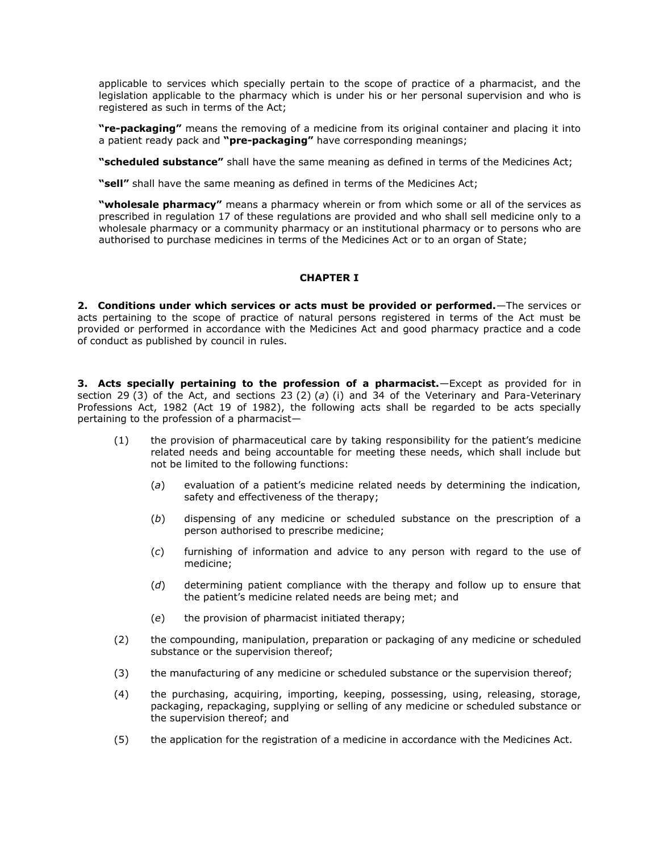applicable to services which specially pertain to the scope of practice of a pharmacist, and the legislation applicable to the pharmacy which is under his or her personal supervision and who is registered as such in terms of the Act;

**"re-packaging"** means the removing of a medicine from its original container and placing it into a patient ready pack and **"pre-packaging"** have corresponding meanings;

**"scheduled substance"** shall have the same meaning as defined in terms of the Medicines Act;

**"sell"** shall have the same meaning as defined in terms of the Medicines Act;

**"wholesale pharmacy"** means a pharmacy wherein or from which some or all of the services as prescribed in [regulation 17](http://www.mylexisnexis.co.za/nxt/gateway.dll/jilc/kilc/xjsg/zmsg/cnsg/6ok2a/zqk2a/grk2a#37x) of these regulations are provided and who shall sell medicine only to a wholesale pharmacy or a community pharmacy or an institutional pharmacy or to persons who are authorised to purchase medicines in terms of the Medicines Act or to an organ of State;

# **CHAPTER I**

**2. Conditions under which services or acts must be provided or performed.**—The services or acts pertaining to the scope of practice of natural persons registered in terms of the Act must be provided or performed in accordance with the Medicines Act and good pharmacy practice and a code of conduct as published by council in rules.

**3. Acts specially pertaining to the profession of a pharmacist.**—Except as provided for in [section 29](http://www.mylexisnexis.co.za/nxt/gateway.dll/jilc/kilc/xjsg/zmsg/0msg/424h#5) (3) of the Act, and [sections 23](http://www.mylexisnexis.co.za/nxt/gateway.dll/jilc/kilc/c0pg/h5pg/i5pg/ykzg#7) (2) (*a*) (i) and [34](http://www.mylexisnexis.co.za/nxt/gateway.dll/jilc/kilc/c0pg/h5pg/i5pg/9kzg#0) of the Veterinary and Para-Veterinary Professions Act, 1982 (Act [19 of 1982\)](http://www.mylexisnexis.co.za/nxt/gateway.dll/jilc/kilc/c0pg/h5pg/i5pg#0), the following acts shall be regarded to be acts specially pertaining to the profession of a pharmacist—

- (1) the provision of pharmaceutical care by taking responsibility for the patient's medicine related needs and being accountable for meeting these needs, which shall include but not be limited to the following functions:
	- (*a*) evaluation of a patient's medicine related needs by determining the indication, safety and effectiveness of the therapy;
	- (*b*) dispensing of any medicine or scheduled substance on the prescription of a person authorised to prescribe medicine;
	- (*c*) furnishing of information and advice to any person with regard to the use of medicine;
	- (*d*) determining patient compliance with the therapy and follow up to ensure that the patient's medicine related needs are being met; and
	- (*e*) the provision of pharmacist initiated therapy;
- (2) the compounding, manipulation, preparation or packaging of any medicine or scheduled substance or the supervision thereof;
- (3) the manufacturing of any medicine or scheduled substance or the supervision thereof;
- (4) the purchasing, acquiring, importing, keeping, possessing, using, releasing, storage, packaging, repackaging, supplying or selling of any medicine or scheduled substance or the supervision thereof; and
- (5) the application for the registration of a medicine in accordance with the Medicines Act.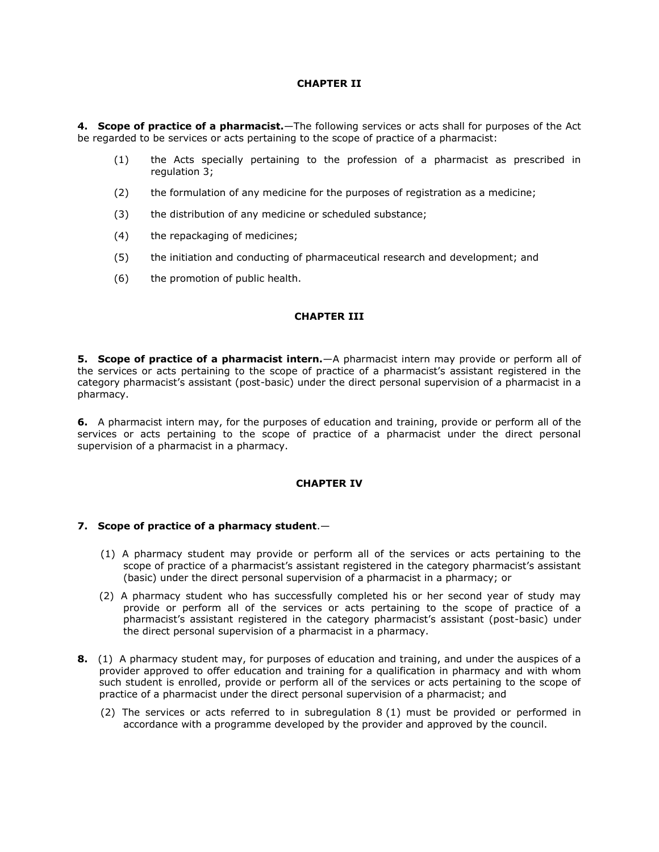## **CHAPTER II**

**4. Scope of practice of a pharmacist.**—The following services or acts shall for purposes of the Act be regarded to be services or acts pertaining to the scope of practice of a pharmacist:

- (1) the Acts specially pertaining to the profession of a pharmacist as prescribed in [regulation 3;](http://www.mylexisnexis.co.za/nxt/gateway.dll/jilc/kilc/xjsg/zmsg/cnsg/6ok2a/zqk2a/2qk2a#362)
- (2) the formulation of any medicine for the purposes of registration as a medicine;
- (3) the distribution of any medicine or scheduled substance;
- (4) the repackaging of medicines;
- (5) the initiation and conducting of pharmaceutical research and development; and
- (6) the promotion of public health.

# **CHAPTER III**

**5. Scope of practice of a pharmacist intern.**—A pharmacist intern may provide or perform all of the services or acts pertaining to the scope of practice of a pharmacist's assistant registered in the category pharmacist's assistant (post-basic) under the direct personal supervision of a pharmacist in a pharmacy.

**6.** A pharmacist intern may, for the purposes of education and training, provide or perform all of the services or acts pertaining to the scope of practice of a pharmacist under the direct personal supervision of a pharmacist in a pharmacy.

#### **CHAPTER IV**

#### **7. Scope of practice of a pharmacy student**.—

- (1) A pharmacy student may provide or perform all of the services or acts pertaining to the scope of practice of a pharmacist's assistant registered in the category pharmacist's assistant (basic) under the direct personal supervision of a pharmacist in a pharmacy; or
- (2) A pharmacy student who has successfully completed his or her second year of study may provide or perform all of the services or acts pertaining to the scope of practice of a pharmacist's assistant registered in the category pharmacist's assistant (post-basic) under the direct personal supervision of a pharmacist in a pharmacy.
- **8.** (1) A pharmacy student may, for purposes of education and training, and under the auspices of a provider approved to offer education and training for a qualification in pharmacy and with whom such student is enrolled, provide or perform all of the services or acts pertaining to the scope of practice of a pharmacist under the direct personal supervision of a pharmacist; and
	- (2) The services or acts referred to in [subregulation 8](http://www.mylexisnexis.co.za/nxt/gateway.dll/jilc/kilc/xjsg/zmsg/cnsg/6ok2a/zqk2a/7qk2a?f=templates$fn=document-frame.htm$3.0$q=$x=$nc=646#36q) (1) must be provided or performed in accordance with a programme developed by the provider and approved by the council.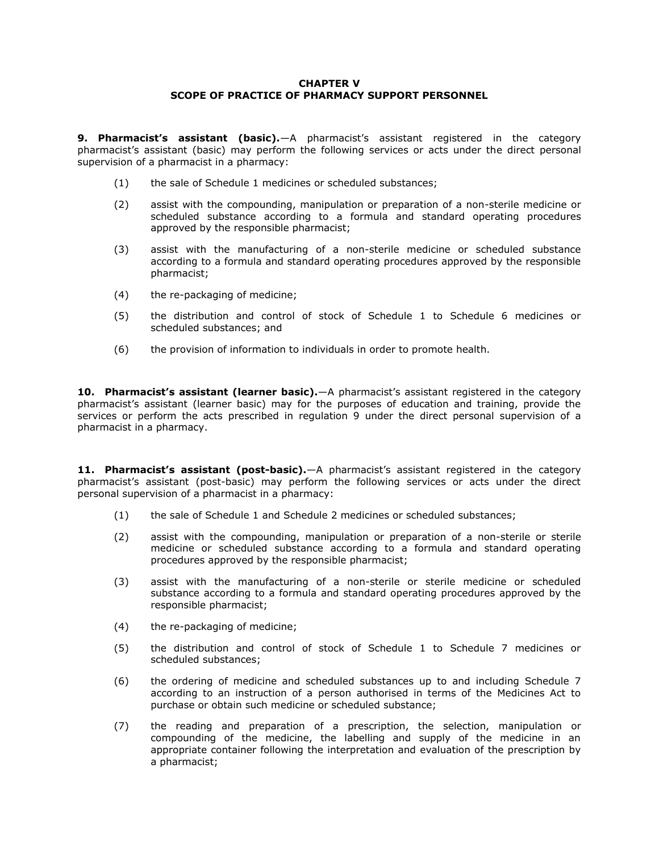## **CHAPTER V SCOPE OF PRACTICE OF PHARMACY SUPPORT PERSONNEL**

**9. Pharmacist's assistant (basic).**—A pharmacist's assistant registered in the category pharmacist's assistant (basic) may perform the following services or acts under the direct personal supervision of a pharmacist in a pharmacy:

- (1) the sale of Schedule 1 medicines or scheduled substances;
- (2) assist with the compounding, manipulation or preparation of a non-sterile medicine or scheduled substance according to a formula and standard operating procedures approved by the responsible pharmacist;
- (3) assist with the manufacturing of a non-sterile medicine or scheduled substance according to a formula and standard operating procedures approved by the responsible pharmacist;
- (4) the re-packaging of medicine;
- (5) the distribution and control of stock of Schedule 1 to Schedule 6 medicines or scheduled substances; and
- (6) the provision of information to individuals in order to promote health.

**10. Pharmacist's assistant (learner basic).**—A pharmacist's assistant registered in the category pharmacist's assistant (learner basic) may for the purposes of education and training, provide the services or perform the acts prescribed in [regulation 9](http://www.mylexisnexis.co.za/nxt/gateway.dll/jilc/kilc/xjsg/zmsg/cnsg/6ok2a/zqk2a/8qk2a#36s) under the direct personal supervision of a pharmacist in a pharmacy.

**11. Pharmacist's assistant (post-basic).**—A pharmacist's assistant registered in the category pharmacist's assistant (post-basic) may perform the following services or acts under the direct personal supervision of a pharmacist in a pharmacy:

- (1) the sale of Schedule 1 and Schedule 2 medicines or scheduled substances;
- (2) assist with the compounding, manipulation or preparation of a non-sterile or sterile medicine or scheduled substance according to a formula and standard operating procedures approved by the responsible pharmacist;
- (3) assist with the manufacturing of a non-sterile or sterile medicine or scheduled substance according to a formula and standard operating procedures approved by the responsible pharmacist;
- (4) the re-packaging of medicine;
- (5) the distribution and control of stock of Schedule 1 to Schedule 7 medicines or scheduled substances;
- (6) the ordering of medicine and scheduled substances up to and including Schedule 7 according to an instruction of a person authorised in terms of the Medicines Act to purchase or obtain such medicine or scheduled substance;
- (7) the reading and preparation of a prescription, the selection, manipulation or compounding of the medicine, the labelling and supply of the medicine in an appropriate container following the interpretation and evaluation of the prescription by a pharmacist;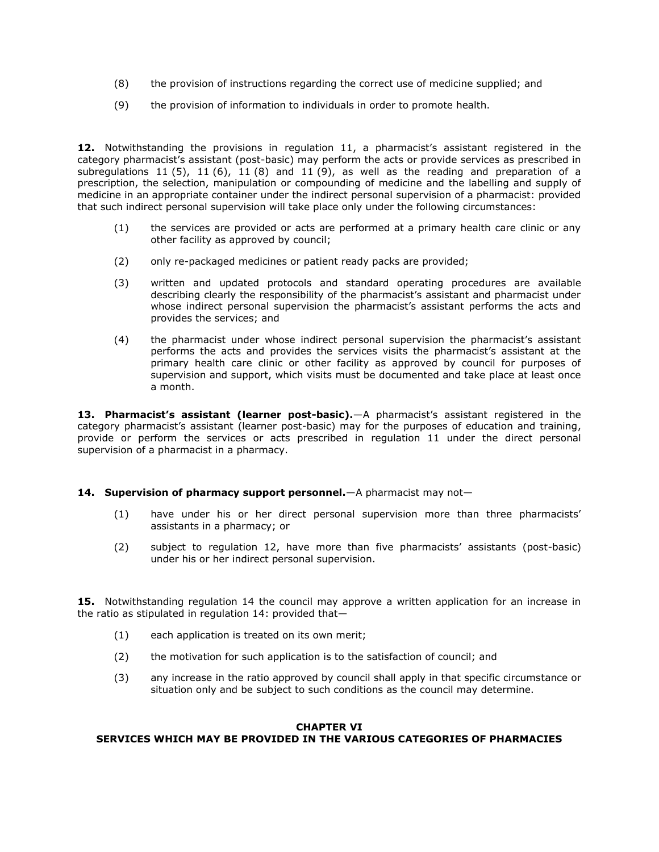- (8) the provision of instructions regarding the correct use of medicine supplied; and
- (9) the provision of information to individuals in order to promote health.

**12.** Notwithstanding the provisions in [regulation 11](http://www.mylexisnexis.co.za/nxt/gateway.dll/jilc/kilc/xjsg/zmsg/cnsg/6ok2a/zqk2a/ark2a#370), a pharmacist's assistant registered in the category pharmacist's assistant (post-basic) may perform the acts or provide services as prescribed in [subregulations 11](http://www.mylexisnexis.co.za/nxt/gateway.dll/jilc/kilc/xjsg/zmsg/cnsg/6ok2a/zqk2a/ark2a#375) (5), 11 [\(6\),](http://www.mylexisnexis.co.za/nxt/gateway.dll/jilc/kilc/xjsg/zmsg/cnsg/6ok2a/zqk2a/ark2a#376) [11](http://www.mylexisnexis.co.za/nxt/gateway.dll/jilc/kilc/xjsg/zmsg/cnsg/6ok2a/zqk2a/ark2a#378) (8) and 11 [\(9\),](http://www.mylexisnexis.co.za/nxt/gateway.dll/jilc/kilc/xjsg/zmsg/cnsg/6ok2a/zqk2a/ark2a#379) as well as the reading and preparation of a prescription, the selection, manipulation or compounding of medicine and the labelling and supply of medicine in an appropriate container under the indirect personal supervision of a pharmacist: provided that such indirect personal supervision will take place only under the following circumstances:

- (1) the services are provided or acts are performed at a primary health care clinic or any other facility as approved by council;
- (2) only re-packaged medicines or patient ready packs are provided;
- (3) written and updated protocols and standard operating procedures are available describing clearly the responsibility of the pharmacist's assistant and pharmacist under whose indirect personal supervision the pharmacist's assistant performs the acts and provides the services; and
- (4) the pharmacist under whose indirect personal supervision the pharmacist's assistant performs the acts and provides the services visits the pharmacist's assistant at the primary health care clinic or other facility as approved by council for purposes of supervision and support, which visits must be documented and take place at least once a month.

**13. Pharmacist's assistant (learner post-basic).**—A pharmacist's assistant registered in the category pharmacist's assistant (learner post-basic) may for the purposes of education and training, provide or perform the services or acts prescribed in [regulation 11](http://www.mylexisnexis.co.za/nxt/gateway.dll/jilc/kilc/xjsg/zmsg/cnsg/6ok2a/zqk2a/ark2a#370) under the direct personal supervision of a pharmacist in a pharmacy.

# **14. Supervision of pharmacy support personnel.**—A pharmacist may not—

- (1) have under his or her direct personal supervision more than three pharmacists' assistants in a pharmacy; or
- (2) subject to [regulation 12](http://www.mylexisnexis.co.za/nxt/gateway.dll/jilc/kilc/xjsg/zmsg/cnsg/6ok2a/zqk2a/brk2a#37a), have more than five pharmacists' assistants (post-basic) under his or her indirect personal supervision.

**15.** Notwithstanding [regulation 14](http://www.mylexisnexis.co.za/nxt/gateway.dll/jilc/kilc/xjsg/zmsg/cnsg/6ok2a/zqk2a/drk2a#37g) the council may approve a written application for an increase in the ratio as stipulated in [regulation 14:](http://www.mylexisnexis.co.za/nxt/gateway.dll/jilc/kilc/xjsg/zmsg/cnsg/6ok2a/zqk2a/drk2a#37g) provided that—

- (1) each application is treated on its own merit;
- (2) the motivation for such application is to the satisfaction of council; and
- (3) any increase in the ratio approved by council shall apply in that specific circumstance or situation only and be subject to such conditions as the council may determine.

## **CHAPTER VI SERVICES WHICH MAY BE PROVIDED IN THE VARIOUS CATEGORIES OF PHARMACIES**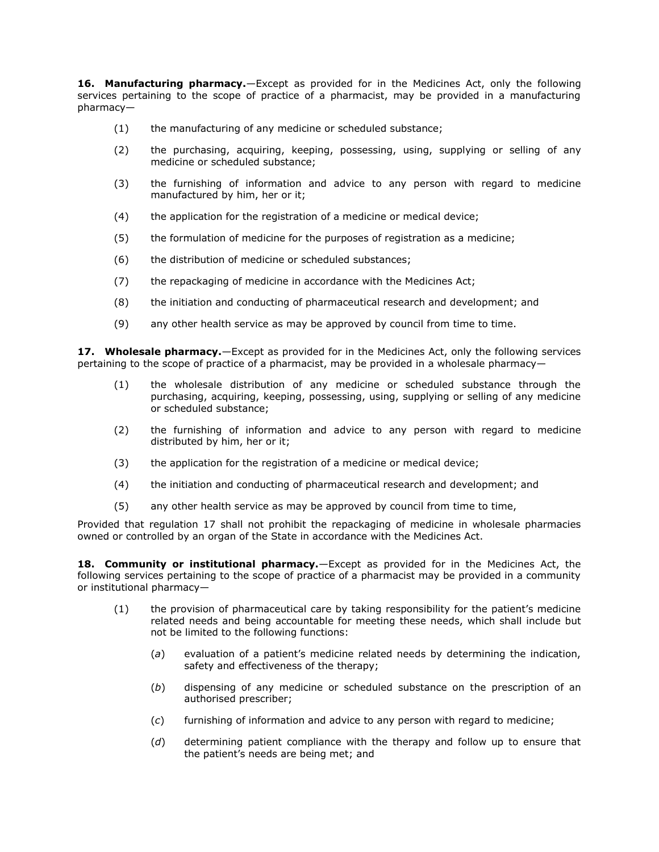**16. Manufacturing pharmacy.**—Except as provided for in the Medicines Act, only the following services pertaining to the scope of practice of a pharmacist, may be provided in a manufacturing pharmacy—

- (1) the manufacturing of any medicine or scheduled substance;
- (2) the purchasing, acquiring, keeping, possessing, using, supplying or selling of any medicine or scheduled substance;
- (3) the furnishing of information and advice to any person with regard to medicine manufactured by him, her or it;
- (4) the application for the registration of a medicine or medical device;
- (5) the formulation of medicine for the purposes of registration as a medicine;
- (6) the distribution of medicine or scheduled substances;
- (7) the repackaging of medicine in accordance with the Medicines Act;
- (8) the initiation and conducting of pharmaceutical research and development; and
- (9) any other health service as may be approved by council from time to time.

**17. Wholesale pharmacy.**—Except as provided for in the Medicines Act, only the following services pertaining to the scope of practice of a pharmacist, may be provided in a wholesale pharmacy—

- (1) the wholesale distribution of any medicine or scheduled substance through the purchasing, acquiring, keeping, possessing, using, supplying or selling of any medicine or scheduled substance;
- (2) the furnishing of information and advice to any person with regard to medicine distributed by him, her or it;
- (3) the application for the registration of a medicine or medical device;
- (4) the initiation and conducting of pharmaceutical research and development; and
- (5) any other health service as may be approved by council from time to time,

Provided that [regulation 17](http://www.mylexisnexis.co.za/nxt/gateway.dll/jilc/kilc/xjsg/zmsg/cnsg/6ok2a/zqk2a/grk2a?f=templates$fn=document-frame.htm$3.0$q=$x=$nc=8081#37x) shall not prohibit the repackaging of medicine in wholesale pharmacies owned or controlled by an organ of the State in accordance with the Medicines Act.

**18. Community or institutional pharmacy.**—Except as provided for in the Medicines Act, the following services pertaining to the scope of practice of a pharmacist may be provided in a community or institutional pharmacy—

- (1) the provision of pharmaceutical care by taking responsibility for the patient's medicine related needs and being accountable for meeting these needs, which shall include but not be limited to the following functions:
	- (*a*) evaluation of a patient's medicine related needs by determining the indication, safety and effectiveness of the therapy;
	- (*b*) dispensing of any medicine or scheduled substance on the prescription of an authorised prescriber;
	- (*c*) furnishing of information and advice to any person with regard to medicine;
	- (*d*) determining patient compliance with the therapy and follow up to ensure that the patient's needs are being met; and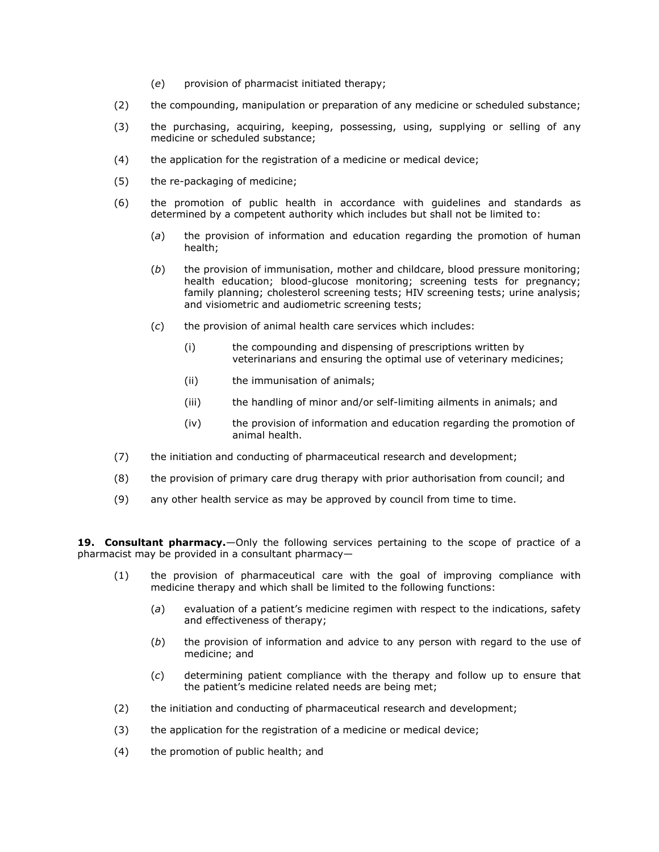- (*e*) provision of pharmacist initiated therapy;
- (2) the compounding, manipulation or preparation of any medicine or scheduled substance;
- (3) the purchasing, acquiring, keeping, possessing, using, supplying or selling of any medicine or scheduled substance;
- (4) the application for the registration of a medicine or medical device;
- (5) the re-packaging of medicine;
- (6) the promotion of public health in accordance with guidelines and standards as determined by a competent authority which includes but shall not be limited to:
	- (*a*) the provision of information and education regarding the promotion of human health;
	- (*b*) the provision of immunisation, mother and childcare, blood pressure monitoring; health education; blood-glucose monitoring; screening tests for pregnancy; family planning; cholesterol screening tests; HIV screening tests; urine analysis; and visiometric and audiometric screening tests;
	- (*c*) the provision of animal health care services which includes:
		- (i) the compounding and dispensing of prescriptions written by veterinarians and ensuring the optimal use of veterinary medicines;
		- (ii) the immunisation of animals;
		- (iii) the handling of minor and/or self-limiting ailments in animals; and
		- (iv) the provision of information and education regarding the promotion of animal health.
- (7) the initiation and conducting of pharmaceutical research and development;
- (8) the provision of primary care drug therapy with prior authorisation from council; and
- (9) any other health service as may be approved by council from time to time.

**19. Consultant pharmacy.**—Only the following services pertaining to the scope of practice of a pharmacist may be provided in a consultant pharmacy—

- (1) the provision of pharmaceutical care with the goal of improving compliance with medicine therapy and which shall be limited to the following functions:
	- (*a*) evaluation of a patient's medicine regimen with respect to the indications, safety and effectiveness of therapy;
	- (*b*) the provision of information and advice to any person with regard to the use of medicine; and
	- (*c*) determining patient compliance with the therapy and follow up to ensure that the patient's medicine related needs are being met;
- (2) the initiation and conducting of pharmaceutical research and development;
- (3) the application for the registration of a medicine or medical device;
- (4) the promotion of public health; and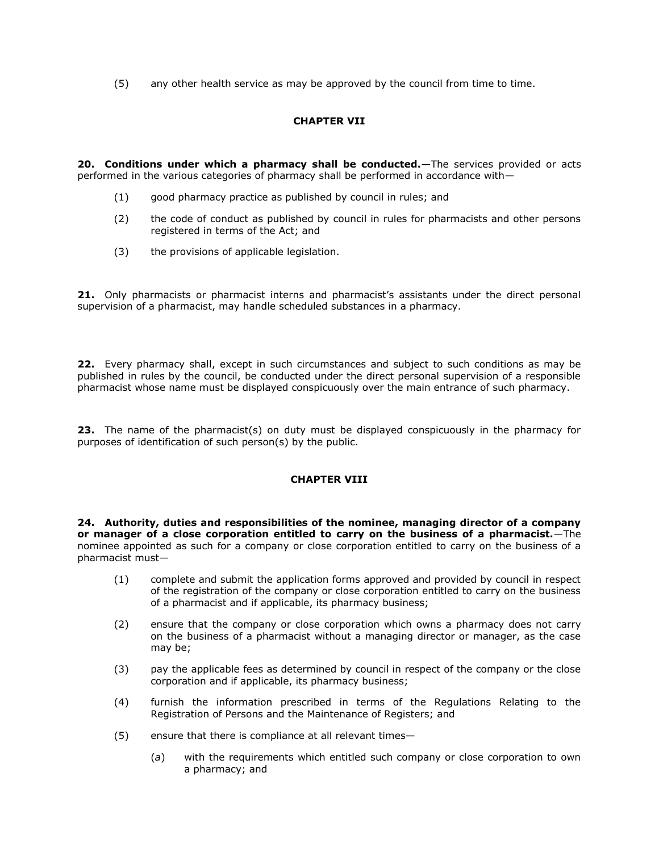(5) any other health service as may be approved by the council from time to time.

# **CHAPTER VII**

**20. Conditions under which a pharmacy shall be conducted.**—The services provided or acts performed in the various categories of pharmacy shall be performed in accordance with—

- (1) good pharmacy practice as published by council in rules; and
- (2) the code of conduct as published by council in rules for pharmacists and other persons registered in terms of the Act; and
- (3) the provisions of applicable legislation.

**21.** Only pharmacists or pharmacist interns and pharmacist's assistants under the direct personal supervision of a pharmacist, may handle scheduled substances in a pharmacy.

**22.** Every pharmacy shall, except in such circumstances and subject to such conditions as may be published in rules by the council, be conducted under the direct personal supervision of a responsible pharmacist whose name must be displayed conspicuously over the main entrance of such pharmacy.

**23.** The name of the pharmacist(s) on duty must be displayed conspicuously in the pharmacy for purposes of identification of such person(s) by the public.

# **CHAPTER VIII**

**24. Authority, duties and responsibilities of the nominee, managing director of a company or manager of a close corporation entitled to carry on the business of a pharmacist.**—The nominee appointed as such for a company or close corporation entitled to carry on the business of a pharmacist must—

- (1) complete and submit the application forms approved and provided by council in respect of the registration of the company or close corporation entitled to carry on the business of a pharmacist and if applicable, its pharmacy business;
- (2) ensure that the company or close corporation which owns a pharmacy does not carry on the business of a pharmacist without a managing director or manager, as the case may be;
- (3) pay the applicable fees as determined by council in respect of the company or the close corporation and if applicable, its pharmacy business;
- (4) furnish the information prescribed in terms of the Regulations Relating to the Registration of Persons and the Maintenance of Registers; and
- (5) ensure that there is compliance at all relevant times—
	- (*a*) with the requirements which entitled such company or close corporation to own a pharmacy; and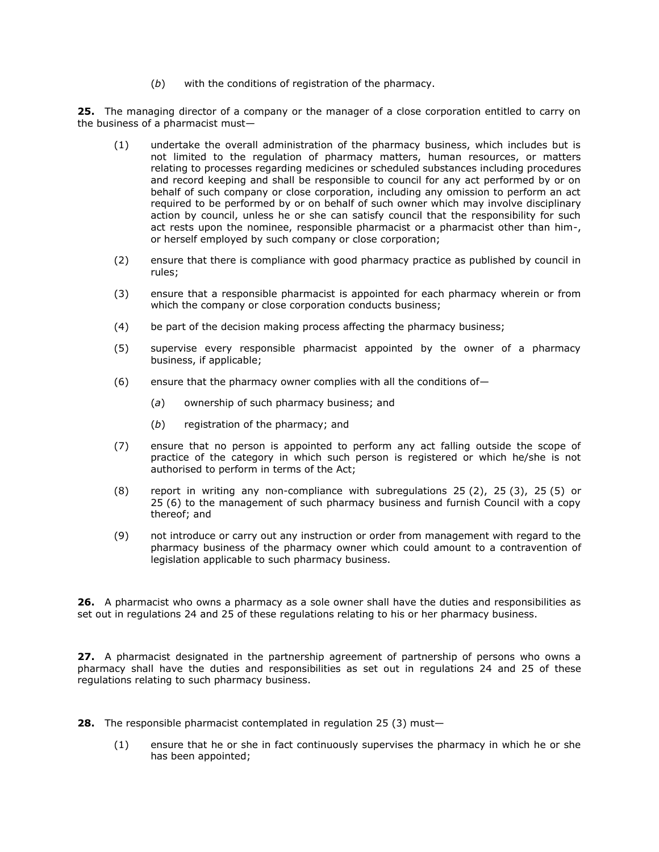(*b*) with the conditions of registration of the pharmacy.

**25.** The managing director of a company or the manager of a close corporation entitled to carry on the business of a pharmacist must—

- (1) undertake the overall administration of the pharmacy business, which includes but is not limited to the regulation of pharmacy matters, human resources, or matters relating to processes regarding medicines or scheduled substances including procedures and record keeping and shall be responsible to council for any act performed by or on behalf of such company or close corporation, including any omission to perform an act required to be performed by or on behalf of such owner which may involve disciplinary action by council, unless he or she can satisfy council that the responsibility for such act rests upon the nominee, responsible pharmacist or a pharmacist other than him-, or herself employed by such company or close corporation;
- (2) ensure that there is compliance with good pharmacy practice as published by council in rules;
- (3) ensure that a responsible pharmacist is appointed for each pharmacy wherein or from which the company or close corporation conducts business;
- (4) be part of the decision making process affecting the pharmacy business;
- (5) supervise every responsible pharmacist appointed by the owner of a pharmacy business, if applicable;
- (6) ensure that the pharmacy owner complies with all the conditions of—
	- (*a*) ownership of such pharmacy business; and
	- (*b*) registration of the pharmacy; and
- (7) ensure that no person is appointed to perform any act falling outside the scope of practice of the category in which such person is registered or which he/she is not authorised to perform in terms of the Act;
- (8) report in writing any non-compliance with [subregulations 25](http://www.mylexisnexis.co.za/nxt/gateway.dll/jilc/kilc/xjsg/zmsg/cnsg/6ok2a/zqk2a/ork2a?f=templates$fn=document-frame.htm$3.0$q=$x=$nc=941#39f) (2), 25 [\(3\),](http://www.mylexisnexis.co.za/nxt/gateway.dll/jilc/kilc/xjsg/zmsg/cnsg/6ok2a/zqk2a/ork2a?f=templates$fn=document-frame.htm$3.0$q=$x=$nc=941#39g) 25 [\(5\)](http://www.mylexisnexis.co.za/nxt/gateway.dll/jilc/kilc/xjsg/zmsg/cnsg/6ok2a/zqk2a/ork2a?f=templates$fn=document-frame.htm$3.0$q=$x=$nc=941#39i) or 25 [\(6\)](http://www.mylexisnexis.co.za/nxt/gateway.dll/jilc/kilc/xjsg/zmsg/cnsg/6ok2a/zqk2a/ork2a?f=templates$fn=document-frame.htm$3.0$q=$x=$nc=941#39j) to the management of such pharmacy business and furnish Council with a copy thereof; and
- (9) not introduce or carry out any instruction or order from management with regard to the pharmacy business of the pharmacy owner which could amount to a contravention of legislation applicable to such pharmacy business.

**26.** A pharmacist who owns a pharmacy as a sole owner shall have the duties and responsibilities as set out in [regulations 24](http://www.mylexisnexis.co.za/nxt/gateway.dll/jilc/kilc/xjsg/zmsg/cnsg/6ok2a/zqk2a/nrk2a#395) and [25](http://www.mylexisnexis.co.za/nxt/gateway.dll/jilc/kilc/xjsg/zmsg/cnsg/6ok2a/zqk2a/ork2a#39d) of these regulations relating to his or her pharmacy business.

**27.** A pharmacist designated in the partnership agreement of partnership of persons who owns a pharmacy shall have the duties and responsibilities as set out in [regulations 24](http://www.mylexisnexis.co.za/nxt/gateway.dll/jilc/kilc/xjsg/zmsg/cnsg/6ok2a/zqk2a/nrk2a#395) and [25](http://www.mylexisnexis.co.za/nxt/gateway.dll/jilc/kilc/xjsg/zmsg/cnsg/6ok2a/zqk2a/ork2a#39d) of these regulations relating to such pharmacy business.

- **28.** The responsible pharmacist contemplated in [regulation 25](http://www.mylexisnexis.co.za/nxt/gateway.dll/jilc/kilc/xjsg/zmsg/cnsg/6ok2a/zqk2a/ork2a#39g) (3) must—
	- (1) ensure that he or she in fact continuously supervises the pharmacy in which he or she has been appointed;